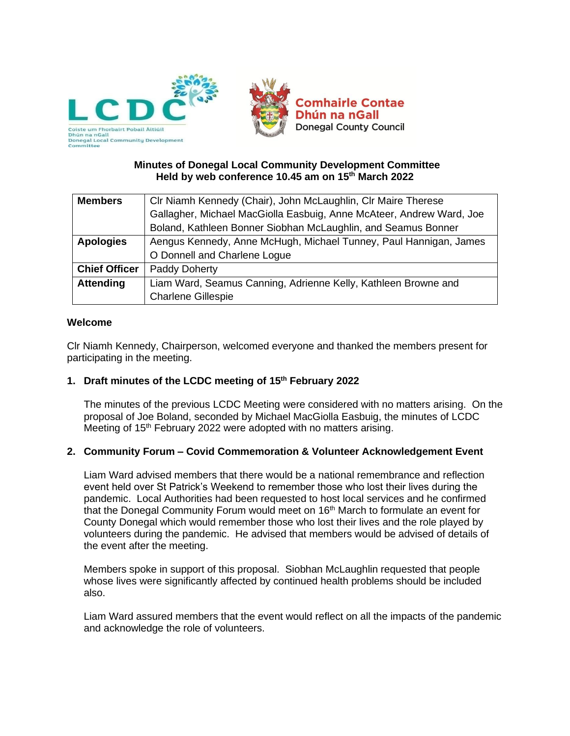

## **Minutes of Donegal Local Community Development Committee Held by web conference 10.45 am on 15th March 2022**

| <b>Members</b>       | CIr Niamh Kennedy (Chair), John McLaughlin, CIr Maire Therese        |  |  |
|----------------------|----------------------------------------------------------------------|--|--|
|                      | Gallagher, Michael MacGiolla Easbuig, Anne McAteer, Andrew Ward, Joe |  |  |
|                      | Boland, Kathleen Bonner Siobhan McLaughlin, and Seamus Bonner        |  |  |
| <b>Apologies</b>     | Aengus Kennedy, Anne McHugh, Michael Tunney, Paul Hannigan, James    |  |  |
|                      | O Donnell and Charlene Logue                                         |  |  |
| <b>Chief Officer</b> | Paddy Doherty                                                        |  |  |
| <b>Attending</b>     | Liam Ward, Seamus Canning, Adrienne Kelly, Kathleen Browne and       |  |  |
|                      | <b>Charlene Gillespie</b>                                            |  |  |

## **Welcome**

Clr Niamh Kennedy, Chairperson, welcomed everyone and thanked the members present for participating in the meeting.

## **1. Draft minutes of the LCDC meeting of 15th February 2022**

The minutes of the previous LCDC Meeting were considered with no matters arising. On the proposal of Joe Boland, seconded by Michael MacGiolla Easbuig, the minutes of LCDC Meeting of 15<sup>th</sup> February 2022 were adopted with no matters arising.

## **2. Community Forum – Covid Commemoration & Volunteer Acknowledgement Event**

Liam Ward advised members that there would be a national remembrance and reflection event held over St Patrick's Weekend to remember those who lost their lives during the pandemic. Local Authorities had been requested to host local services and he confirmed that the Donegal Community Forum would meet on 16<sup>th</sup> March to formulate an event for County Donegal which would remember those who lost their lives and the role played by volunteers during the pandemic. He advised that members would be advised of details of the event after the meeting.

Members spoke in support of this proposal. Siobhan McLaughlin requested that people whose lives were significantly affected by continued health problems should be included also.

Liam Ward assured members that the event would reflect on all the impacts of the pandemic and acknowledge the role of volunteers.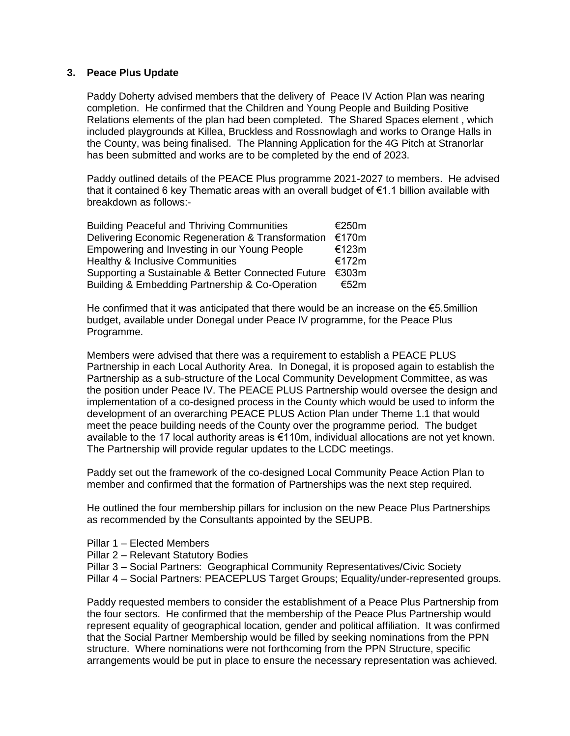#### **3. Peace Plus Update**

Paddy Doherty advised members that the delivery of Peace IV Action Plan was nearing completion. He confirmed that the Children and Young People and Building Positive Relations elements of the plan had been completed. The Shared Spaces element , which included playgrounds at Killea, Bruckless and Rossnowlagh and works to Orange Halls in the County, was being finalised. The Planning Application for the 4G Pitch at Stranorlar has been submitted and works are to be completed by the end of 2023.

Paddy outlined details of the PEACE Plus programme 2021-2027 to members. He advised that it contained 6 key Thematic areas with an overall budget of €1.1 billion available with breakdown as follows:-

| <b>Building Peaceful and Thriving Communities</b>  |  |  |
|----------------------------------------------------|--|--|
| Delivering Economic Regeneration & Transformation  |  |  |
| Empowering and Investing in our Young People       |  |  |
| <b>Healthy &amp; Inclusive Communities</b>         |  |  |
| Supporting a Sustainable & Better Connected Future |  |  |
| Building & Embedding Partnership & Co-Operation    |  |  |

He confirmed that it was anticipated that there would be an increase on the  $\epsilon$ 5.5million budget, available under Donegal under Peace IV programme, for the Peace Plus Programme.

Members were advised that there was a requirement to establish a PEACE PLUS Partnership in each Local Authority Area. In Donegal, it is proposed again to establish the Partnership as a sub-structure of the Local Community Development Committee, as was the position under Peace IV. The PEACE PLUS Partnership would oversee the design and implementation of a co-designed process in the County which would be used to inform the development of an overarching PEACE PLUS Action Plan under Theme 1.1 that would meet the peace building needs of the County over the programme period. The budget available to the 17 local authority areas is €110m, individual allocations are not yet known. The Partnership will provide regular updates to the LCDC meetings.

Paddy set out the framework of the co-designed Local Community Peace Action Plan to member and confirmed that the formation of Partnerships was the next step required.

He outlined the four membership pillars for inclusion on the new Peace Plus Partnerships as recommended by the Consultants appointed by the SEUPB.

- Pillar 1 Elected Members
- Pillar 2 Relevant Statutory Bodies
- Pillar 3 Social Partners: Geographical Community Representatives/Civic Society
- Pillar 4 Social Partners: PEACEPLUS Target Groups; Equality/under-represented groups.

Paddy requested members to consider the establishment of a Peace Plus Partnership from the four sectors. He confirmed that the membership of the Peace Plus Partnership would represent equality of geographical location, gender and political affiliation. It was confirmed that the Social Partner Membership would be filled by seeking nominations from the PPN structure. Where nominations were not forthcoming from the PPN Structure, specific arrangements would be put in place to ensure the necessary representation was achieved.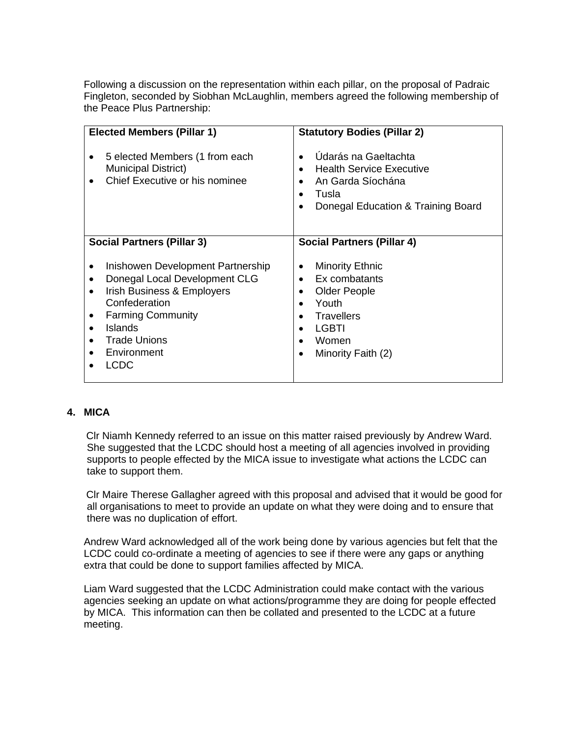Following a discussion on the representation within each pillar, on the proposal of Padraic Fingleton, seconded by Siobhan McLaughlin, members agreed the following membership of the Peace Plus Partnership:

| <b>Elected Members (Pillar 1)</b>                                                                                                                                                                                                 | <b>Statutory Bodies (Pillar 2)</b>                                                                                                                                 |
|-----------------------------------------------------------------------------------------------------------------------------------------------------------------------------------------------------------------------------------|--------------------------------------------------------------------------------------------------------------------------------------------------------------------|
| 5 elected Members (1 from each<br><b>Municipal District)</b><br>Chief Executive or his nominee                                                                                                                                    | Údarás na Gaeltachta<br>$\bullet$<br><b>Health Service Executive</b><br>An Garda Síochána<br>$\bullet$<br>Tusla<br>$\bullet$<br>Donegal Education & Training Board |
| <b>Social Partners (Pillar 3)</b>                                                                                                                                                                                                 | <b>Social Partners (Pillar 4)</b>                                                                                                                                  |
| Inishowen Development Partnership<br>Donegal Local Development CLG<br>Irish Business & Employers<br>$\bullet$<br>Confederation<br><b>Farming Community</b><br><b>Islands</b><br><b>Trade Unions</b><br>Environment<br><b>LCDC</b> | <b>Minority Ethnic</b><br>Ex combatants<br>$\bullet$<br>Older People<br>Youth<br><b>Travellers</b><br><b>LGBTI</b><br>Women<br>Minority Faith (2)<br>$\bullet$     |

# **4. MICA**

Clr Niamh Kennedy referred to an issue on this matter raised previously by Andrew Ward. She suggested that the LCDC should host a meeting of all agencies involved in providing supports to people effected by the MICA issue to investigate what actions the LCDC can take to support them.

Clr Maire Therese Gallagher agreed with this proposal and advised that it would be good for all organisations to meet to provide an update on what they were doing and to ensure that there was no duplication of effort.

Andrew Ward acknowledged all of the work being done by various agencies but felt that the LCDC could co-ordinate a meeting of agencies to see if there were any gaps or anything extra that could be done to support families affected by MICA.

Liam Ward suggested that the LCDC Administration could make contact with the various agencies seeking an update on what actions/programme they are doing for people effected by MICA. This information can then be collated and presented to the LCDC at a future meeting.